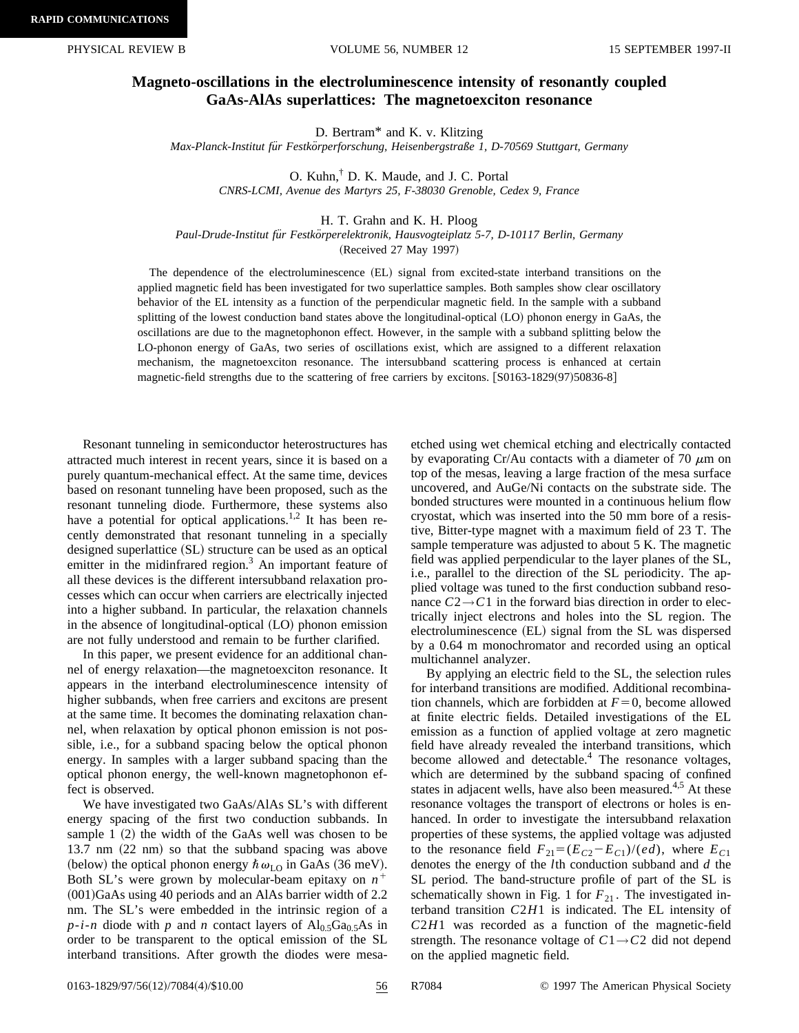## **Magneto-oscillations in the electroluminescence intensity of resonantly coupled GaAs-AlAs superlattices: The magnetoexciton resonance**

D. Bertram\* and K. v. Klitzing

*Max-Planck-Institut fu¨r Festko¨rperforschung, Heisenbergstraße 1, D-70569 Stuttgart, Germany*

O. Kuhn,† D. K. Maude, and J. C. Portal *CNRS-LCMI, Avenue des Martyrs 25, F-38030 Grenoble, Cedex 9, France*

H. T. Grahn and K. H. Ploog

*Paul-Drude-Institut fu¨r Festko¨rperelektronik, Hausvogteiplatz 5-7, D-10117 Berlin, Germany*

(Received 27 May 1997)

The dependence of the electroluminescence (EL) signal from excited-state interband transitions on the applied magnetic field has been investigated for two superlattice samples. Both samples show clear oscillatory behavior of the EL intensity as a function of the perpendicular magnetic field. In the sample with a subband splitting of the lowest conduction band states above the longitudinal-optical (LO) phonon energy in GaAs, the oscillations are due to the magnetophonon effect. However, in the sample with a subband splitting below the LO-phonon energy of GaAs, two series of oscillations exist, which are assigned to a different relaxation mechanism, the magnetoexciton resonance. The intersubband scattering process is enhanced at certain magnetic-field strengths due to the scattering of free carriers by excitons. [S0163-1829(97)50836-8]

Resonant tunneling in semiconductor heterostructures has attracted much interest in recent years, since it is based on a purely quantum-mechanical effect. At the same time, devices based on resonant tunneling have been proposed, such as the resonant tunneling diode. Furthermore, these systems also have a potential for optical applications.<sup>1,2</sup> It has been recently demonstrated that resonant tunneling in a specially designed superlattice (SL) structure can be used as an optical emitter in the midinfrared region.<sup>3</sup> An important feature of all these devices is the different intersubband relaxation processes which can occur when carriers are electrically injected into a higher subband. In particular, the relaxation channels in the absence of longitudinal-optical  $(LO)$  phonon emission are not fully understood and remain to be further clarified.

In this paper, we present evidence for an additional channel of energy relaxation—the magnetoexciton resonance. It appears in the interband electroluminescence intensity of higher subbands, when free carriers and excitons are present at the same time. It becomes the dominating relaxation channel, when relaxation by optical phonon emission is not possible, i.e., for a subband spacing below the optical phonon energy. In samples with a larger subband spacing than the optical phonon energy, the well-known magnetophonon effect is observed.

We have investigated two GaAs/AlAs SL's with different energy spacing of the first two conduction subbands. In sample  $1$  (2) the width of the GaAs well was chosen to be  $13.7 \text{ nm}$   $(22 \text{ nm})$  so that the subband spacing was above (below) the optical phonon energy  $\hbar \omega_{\text{LO}}$  in GaAs (36 meV). Both SL's were grown by molecular-beam epitaxy on  $n^+$  $(001)$ GaAs using 40 periods and an AlAs barrier width of 2.2 nm. The SL's were embedded in the intrinsic region of a  $p-i-n$  diode with *p* and *n* contact layers of  $Al_{0.5}Ga_{0.5}As$  in order to be transparent to the optical emission of the SL interband transitions. After growth the diodes were mesaetched using wet chemical etching and electrically contacted by evaporating Cr/Au contacts with a diameter of 70  $\mu$ m on top of the mesas, leaving a large fraction of the mesa surface uncovered, and AuGe/Ni contacts on the substrate side. The bonded structures were mounted in a continuous helium flow cryostat, which was inserted into the 50 mm bore of a resistive, Bitter-type magnet with a maximum field of 23 T. The sample temperature was adjusted to about 5 K. The magnetic field was applied perpendicular to the layer planes of the SL, i.e., parallel to the direction of the SL periodicity. The applied voltage was tuned to the first conduction subband resonance  $C2 \rightarrow C1$  in the forward bias direction in order to electrically inject electrons and holes into the SL region. The electroluminescence (EL) signal from the SL was dispersed by a 0.64 m monochromator and recorded using an optical multichannel analyzer.

By applying an electric field to the SL, the selection rules for interband transitions are modified. Additional recombination channels, which are forbidden at  $F=0$ , become allowed at finite electric fields. Detailed investigations of the EL emission as a function of applied voltage at zero magnetic field have already revealed the interband transitions, which become allowed and detectable.<sup>4</sup> The resonance voltages, which are determined by the subband spacing of confined states in adjacent wells, have also been measured.<sup>4,5</sup> At these resonance voltages the transport of electrons or holes is enhanced. In order to investigate the intersubband relaxation properties of these systems, the applied voltage was adjusted to the resonance field  $F_{21} = (E_{C2} - E_{C1})/(ed)$ , where  $E_{C1}$ denotes the energy of the *l*th conduction subband and *d* the SL period. The band-structure profile of part of the SL is schematically shown in Fig. 1 for  $F_{21}$ . The investigated interband transition *C*2*H*1 is indicated. The EL intensity of *C*2*H*1 was recorded as a function of the magnetic-field strength. The resonance voltage of *C*1*→C*2 did not depend on the applied magnetic field.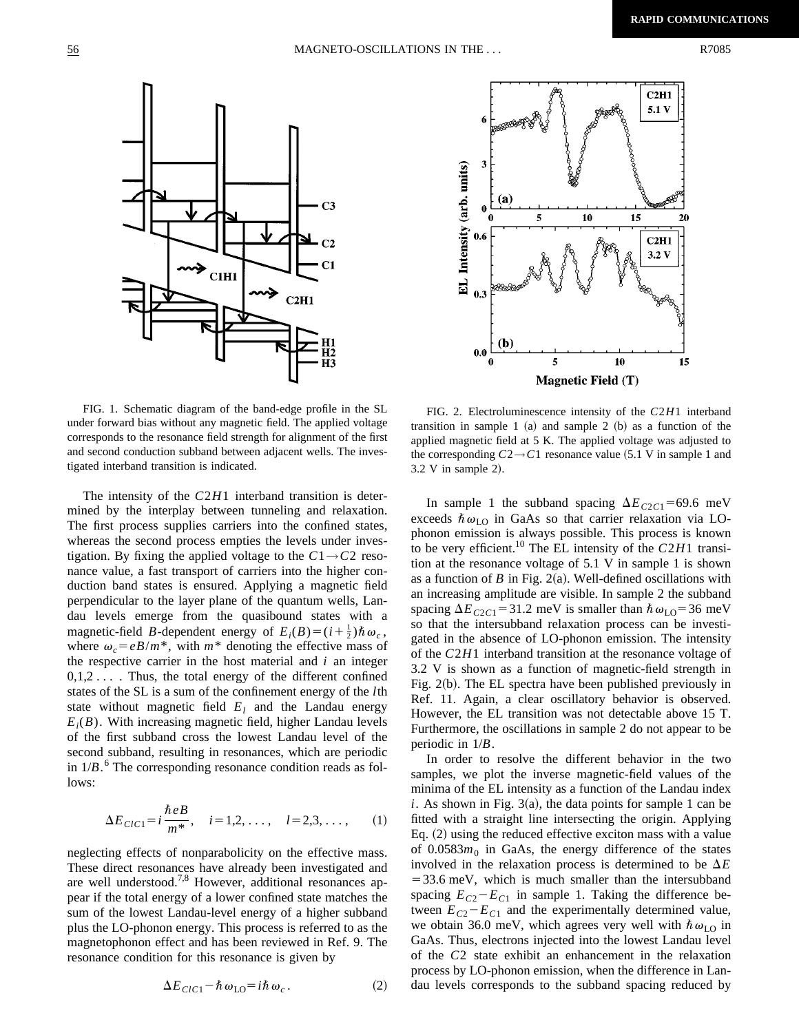

FIG. 1. Schematic diagram of the band-edge profile in the SL under forward bias without any magnetic field. The applied voltage corresponds to the resonance field strength for alignment of the first and second conduction subband between adjacent wells. The investigated interband transition is indicated.

The intensity of the *C*2*H*1 interband transition is determined by the interplay between tunneling and relaxation. The first process supplies carriers into the confined states, whereas the second process empties the levels under investigation. By fixing the applied voltage to the  $C1 \rightarrow C2$  resonance value, a fast transport of carriers into the higher conduction band states is ensured. Applying a magnetic field perpendicular to the layer plane of the quantum wells, Landau levels emerge from the quasibound states with a magnetic-field *B*-dependent energy of  $E_i(B) = (i + \frac{1}{2})\hbar \omega_c$ , where  $\omega_c = eB/m^*$ , with  $m^*$  denoting the effective mass of the respective carrier in the host material and *i* an integer  $0,1,2...$  . Thus, the total energy of the different confined states of the SL is a sum of the confinement energy of the *l*th state without magnetic field  $E_l$  and the Landau energy  $E_i(B)$ . With increasing magnetic field, higher Landau levels of the first subband cross the lowest Landau level of the second subband, resulting in resonances, which are periodic in 1/*B*. <sup>6</sup> The corresponding resonance condition reads as follows:

$$
\Delta E_{ClC1} = i \frac{\hbar e B}{m^*}, \quad i = 1, 2, ..., \quad l = 2, 3, ..., \tag{1}
$$

neglecting effects of nonparabolicity on the effective mass. These direct resonances have already been investigated and are well understood.7,8 However, additional resonances appear if the total energy of a lower confined state matches the sum of the lowest Landau-level energy of a higher subband plus the LO-phonon energy. This process is referred to as the magnetophonon effect and has been reviewed in Ref. 9. The resonance condition for this resonance is given by

$$
\Delta E_{ClC1} - \hbar \omega_{LO} = i\hbar \omega_c \,. \tag{2}
$$



FIG. 2. Electroluminescence intensity of the *C*2*H*1 interband transition in sample 1  $(a)$  and sample 2  $(b)$  as a function of the applied magnetic field at 5 K. The applied voltage was adjusted to the corresponding  $C2 \rightarrow C1$  resonance value  $(5.1 \text{ V in sample 1 and})$  $3.2$  V in sample 2).

In sample 1 the subband spacing  $\Delta E_{C2C1}$ =69.6 meV exceeds  $\hbar \omega_{\text{LO}}$  in GaAs so that carrier relaxation via LOphonon emission is always possible. This process is known to be very efficient.<sup>10</sup> The EL intensity of the  $C2H1$  transition at the resonance voltage of 5.1 V in sample 1 is shown as a function of *B* in Fig.  $2(a)$ . Well-defined oscillations with an increasing amplitude are visible. In sample 2 the subband spacing  $\Delta E_{C2C1}$ =31.2 meV is smaller than  $\hbar \omega_{LO}$ =36 meV so that the intersubband relaxation process can be investigated in the absence of LO-phonon emission. The intensity of the *C*2*H*1 interband transition at the resonance voltage of 3.2 V is shown as a function of magnetic-field strength in Fig.  $2(b)$ . The EL spectra have been published previously in Ref. 11. Again, a clear oscillatory behavior is observed. However, the EL transition was not detectable above 15 T. Furthermore, the oscillations in sample 2 do not appear to be periodic in 1/*B*.

In order to resolve the different behavior in the two samples, we plot the inverse magnetic-field values of the minima of the EL intensity as a function of the Landau index *i*. As shown in Fig.  $3(a)$ , the data points for sample 1 can be fitted with a straight line intersecting the origin. Applying Eq.  $(2)$  using the reduced effective exciton mass with a value of  $0.0583m<sub>0</sub>$  in GaAs, the energy difference of the states involved in the relaxation process is determined to be  $\Delta E$  $=$  33.6 meV, which is much smaller than the intersubband spacing  $E_{C2} - E_{C1}$  in sample 1. Taking the difference between  $E_{C2} - E_{C1}$  and the experimentally determined value, we obtain 36.0 meV, which agrees very well with  $\hbar \omega_{\text{LO}}$  in GaAs. Thus, electrons injected into the lowest Landau level of the *C*2 state exhibit an enhancement in the relaxation process by LO-phonon emission, when the difference in Landau levels corresponds to the subband spacing reduced by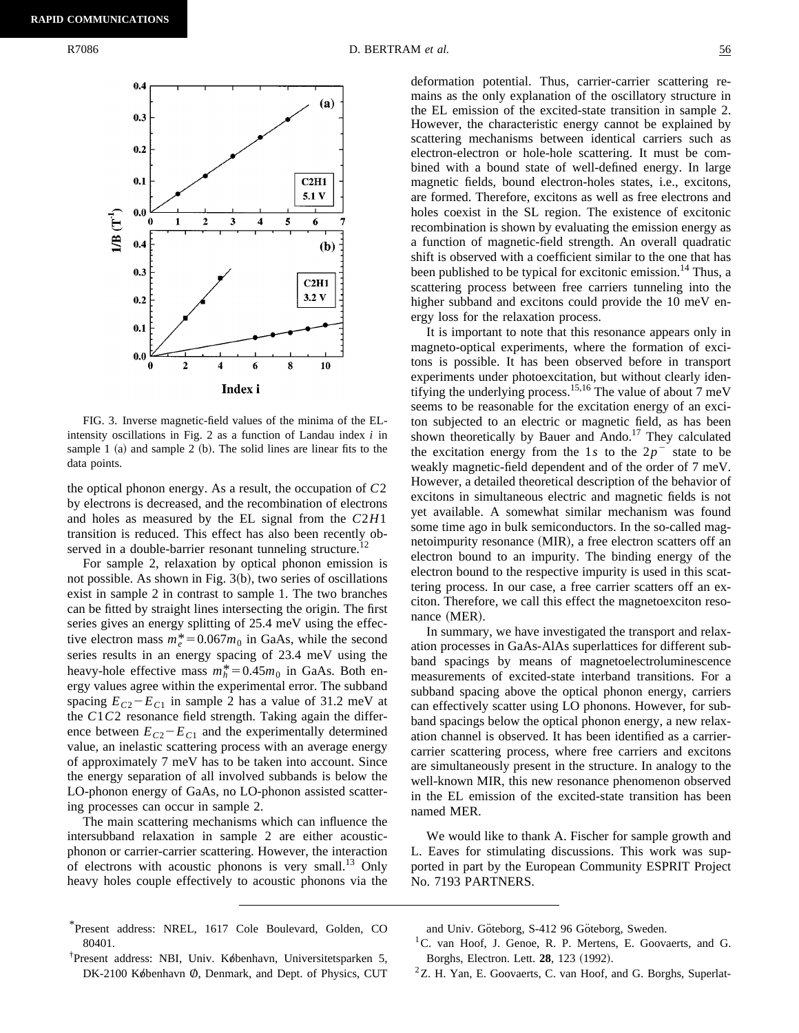

FIG. 3. Inverse magnetic-field values of the minima of the ELintensity oscillations in Fig. 2 as a function of Landau index *i* in sample 1  $(a)$  and sample 2  $(b)$ . The solid lines are linear fits to the data points.

the optical phonon energy. As a result, the occupation of *C*2 by electrons is decreased, and the recombination of electrons and holes as measured by the EL signal from the *C*2*H*1 transition is reduced. This effect has also been recently observed in a double-barrier resonant tunneling structure.<sup>12</sup>

For sample 2, relaxation by optical phonon emission is not possible. As shown in Fig.  $3(b)$ , two series of oscillations exist in sample 2 in contrast to sample 1. The two branches can be fitted by straight lines intersecting the origin. The first series gives an energy splitting of 25.4 meV using the effective electron mass  $m_e^* = 0.067m_0$  in GaAs, while the second series results in an energy spacing of 23.4 meV using the heavy-hole effective mass  $m_h^* = 0.45m_0$  in GaAs. Both energy values agree within the experimental error. The subband spacing  $E_{C2} - E_{C1}$  in sample 2 has a value of 31.2 meV at the *C*1*C*2 resonance field strength. Taking again the difference between  $E_{C2} - E_{C1}$  and the experimentally determined value, an inelastic scattering process with an average energy of approximately 7 meV has to be taken into account. Since the energy separation of all involved subbands is below the LO-phonon energy of GaAs, no LO-phonon assisted scattering processes can occur in sample 2.

The main scattering mechanisms which can influence the intersubband relaxation in sample 2 are either acousticphonon or carrier-carrier scattering. However, the interaction of electrons with acoustic phonons is very small.<sup>13</sup> Only heavy holes couple effectively to acoustic phonons via the deformation potential. Thus, carrier-carrier scattering remains as the only explanation of the oscillatory structure in the EL emission of the excited-state transition in sample 2. However, the characteristic energy cannot be explained by scattering mechanisms between identical carriers such as electron-electron or hole-hole scattering. It must be combined with a bound state of well-defined energy. In large magnetic fields, bound electron-holes states, i.e., excitons, are formed. Therefore, excitons as well as free electrons and holes coexist in the SL region. The existence of excitonic recombination is shown by evaluating the emission energy as a function of magnetic-field strength. An overall quadratic shift is observed with a coefficient similar to the one that has been published to be typical for excitonic emission.<sup>14</sup> Thus, a scattering process between free carriers tunneling into the higher subband and excitons could provide the 10 meV energy loss for the relaxation process.

It is important to note that this resonance appears only in magneto-optical experiments, where the formation of excitons is possible. It has been observed before in transport experiments under photoexcitation, but without clearly identifying the underlying process.<sup>15,16</sup> The value of about  $7 \text{ meV}$ seems to be reasonable for the excitation energy of an exciton subjected to an electric or magnetic field, as has been shown theoretically by Bauer and Ando.<sup>17</sup> They calculated the excitation energy from the 1s to the  $2p^{-}$  state to be weakly magnetic-field dependent and of the order of 7 meV. However, a detailed theoretical description of the behavior of excitons in simultaneous electric and magnetic fields is not yet available. A somewhat similar mechanism was found some time ago in bulk semiconductors. In the so-called magnetoimpurity resonance (MIR), a free electron scatters off an electron bound to an impurity. The binding energy of the electron bound to the respective impurity is used in this scattering process. In our case, a free carrier scatters off an exciton. Therefore, we call this effect the magnetoexciton resonance (MER).

In summary, we have investigated the transport and relaxation processes in GaAs-AlAs superlattices for different subband spacings by means of magnetoelectroluminescence measurements of excited-state interband transitions. For a subband spacing above the optical phonon energy, carriers can effectively scatter using LO phonons. However, for subband spacings below the optical phonon energy, a new relaxation channel is observed. It has been identified as a carriercarrier scattering process, where free carriers and excitons are simultaneously present in the structure. In analogy to the well-known MIR, this new resonance phenomenon observed in the EL emission of the excited-state transition has been named MER.

We would like to thank A. Fischer for sample growth and L. Eaves for stimulating discussions. This work was supported in part by the European Community ESPRIT Project No. 7193 PARTNERS.

- \*Present address: NREL, 1617 Cole Boulevard, Golden, CO 80401.
- <sup>†</sup>Present address: NBI, Univ. København, Universitetsparken 5, DK-2100 København Ø, Denmark, and Dept. of Physics, CUT
- and Univ. Göteborg, S-412 96 Göteborg, Sweden.
- <sup>1</sup>C. van Hoof, J. Genoe, R. P. Mertens, E. Goovaerts, and G. Borghs, Electron. Lett. **28**, 123 (1992).
- <sup>2</sup>Z. H. Yan, E. Goovaerts, C. van Hoof, and G. Borghs, Superlat-